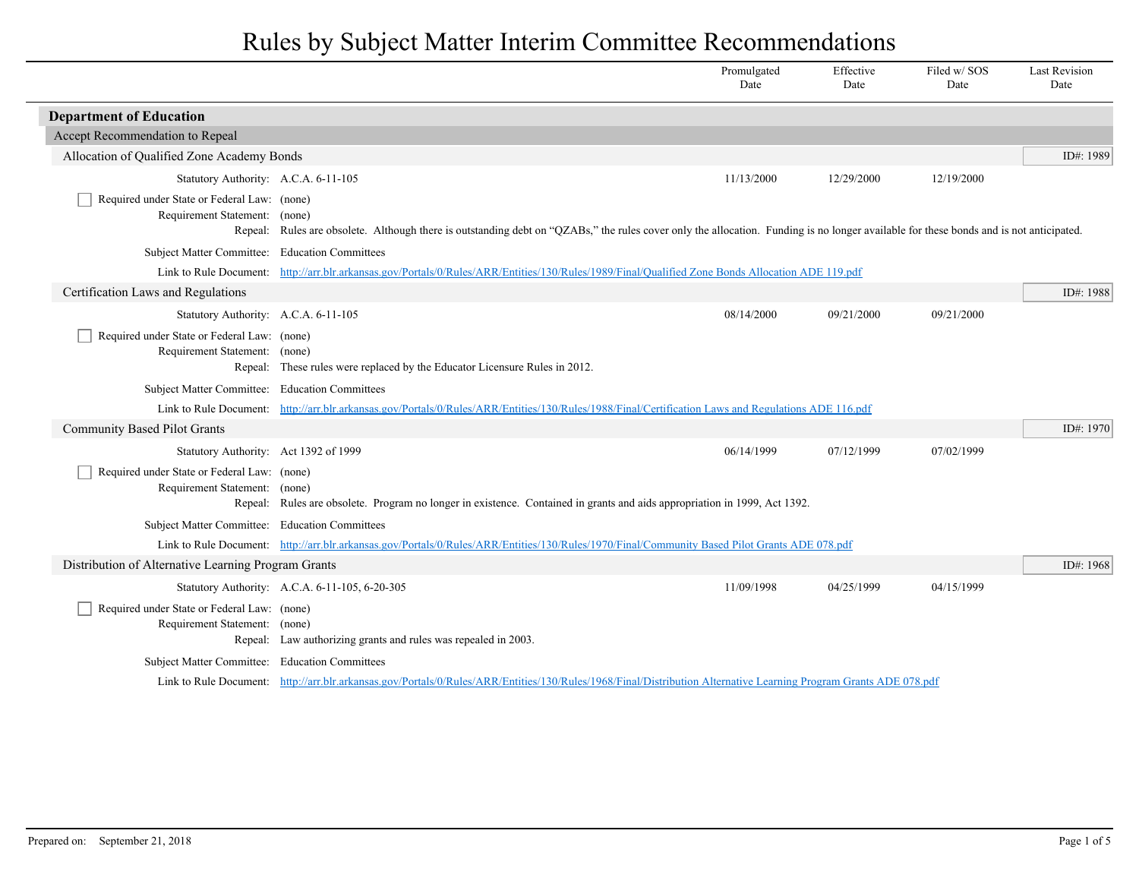|                                                                              |                                                                                                                                                                                        | Promulgated<br>Date | Effective<br>Date | Filed w/SOS<br>Date | <b>Last Revision</b><br>Date |
|------------------------------------------------------------------------------|----------------------------------------------------------------------------------------------------------------------------------------------------------------------------------------|---------------------|-------------------|---------------------|------------------------------|
| <b>Department of Education</b>                                               |                                                                                                                                                                                        |                     |                   |                     |                              |
| Accept Recommendation to Repeal                                              |                                                                                                                                                                                        |                     |                   |                     |                              |
| Allocation of Qualified Zone Academy Bonds                                   |                                                                                                                                                                                        |                     |                   |                     | ID#: 1989                    |
| Statutory Authority: A.C.A. 6-11-105                                         |                                                                                                                                                                                        | 11/13/2000          | 12/29/2000        | 12/19/2000          |                              |
| Required under State or Federal Law: (none)<br>Requirement Statement: (none) | Repeal: Rules are obsolete. Although there is outstanding debt on "QZABs," the rules cover only the allocation. Funding is no longer available for these bonds and is not anticipated. |                     |                   |                     |                              |
| Subject Matter Committee: Education Committees                               |                                                                                                                                                                                        |                     |                   |                     |                              |
|                                                                              | Link to Rule Document: http://arr.blr.arkansas.gov/Portals/0/Rules/ARR/Entities/130/Rules/1989/Final/Qualified Zone Bonds Allocation ADE 119.pdf                                       |                     |                   |                     |                              |
| Certification Laws and Regulations                                           |                                                                                                                                                                                        |                     |                   |                     | ID#: 1988                    |
| Statutory Authority: A.C.A. 6-11-105                                         |                                                                                                                                                                                        | 08/14/2000          | 09/21/2000        | 09/21/2000          |                              |
| Required under State or Federal Law: (none)<br>Requirement Statement: (none) | Repeal: These rules were replaced by the Educator Licensure Rules in 2012.                                                                                                             |                     |                   |                     |                              |
| Subject Matter Committee: Education Committees                               |                                                                                                                                                                                        |                     |                   |                     |                              |
|                                                                              | Link to Rule Document: http://arr.blr.arkansas.gov/Portals/0/Rules/ARR/Entities/130/Rules/1988/Final/Certification Laws and Regulations ADE 116.pdf                                    |                     |                   |                     |                              |
| <b>Community Based Pilot Grants</b>                                          |                                                                                                                                                                                        |                     |                   |                     | ID#: 1970                    |
| Statutory Authority: Act 1392 of 1999                                        |                                                                                                                                                                                        | 06/14/1999          | 07/12/1999        | 07/02/1999          |                              |
| Required under State or Federal Law: (none)<br>Requirement Statement: (none) | Repeal: Rules are obsolete. Program no longer in existence. Contained in grants and aids appropriation in 1999, Act 1392.                                                              |                     |                   |                     |                              |
| Subject Matter Committee: Education Committees                               |                                                                                                                                                                                        |                     |                   |                     |                              |
|                                                                              | Link to Rule Document: http://arr.blr.arkansas.gov/Portals/0/Rules/ARR/Entities/130/Rules/1970/Final/Community Based Pilot Grants ADE 078.pdf                                          |                     |                   |                     |                              |
| Distribution of Alternative Learning Program Grants                          |                                                                                                                                                                                        |                     |                   |                     | ID#: 1968                    |
|                                                                              | Statutory Authority: A.C.A. 6-11-105, 6-20-305                                                                                                                                         | 11/09/1998          | 04/25/1999        | 04/15/1999          |                              |
| Required under State or Federal Law: (none)<br>Requirement Statement: (none) | Repeal: Law authorizing grants and rules was repealed in 2003.                                                                                                                         |                     |                   |                     |                              |
| Subject Matter Committee: Education Committees                               |                                                                                                                                                                                        |                     |                   |                     |                              |
|                                                                              | Link to Rule Document: http://arr.blr.arkansas.gov/Portals/0/Rules/ARR/Entities/130/Rules/1968/Final/Distribution Alternative Learning Program Grants ADE 078.pdf                      |                     |                   |                     |                              |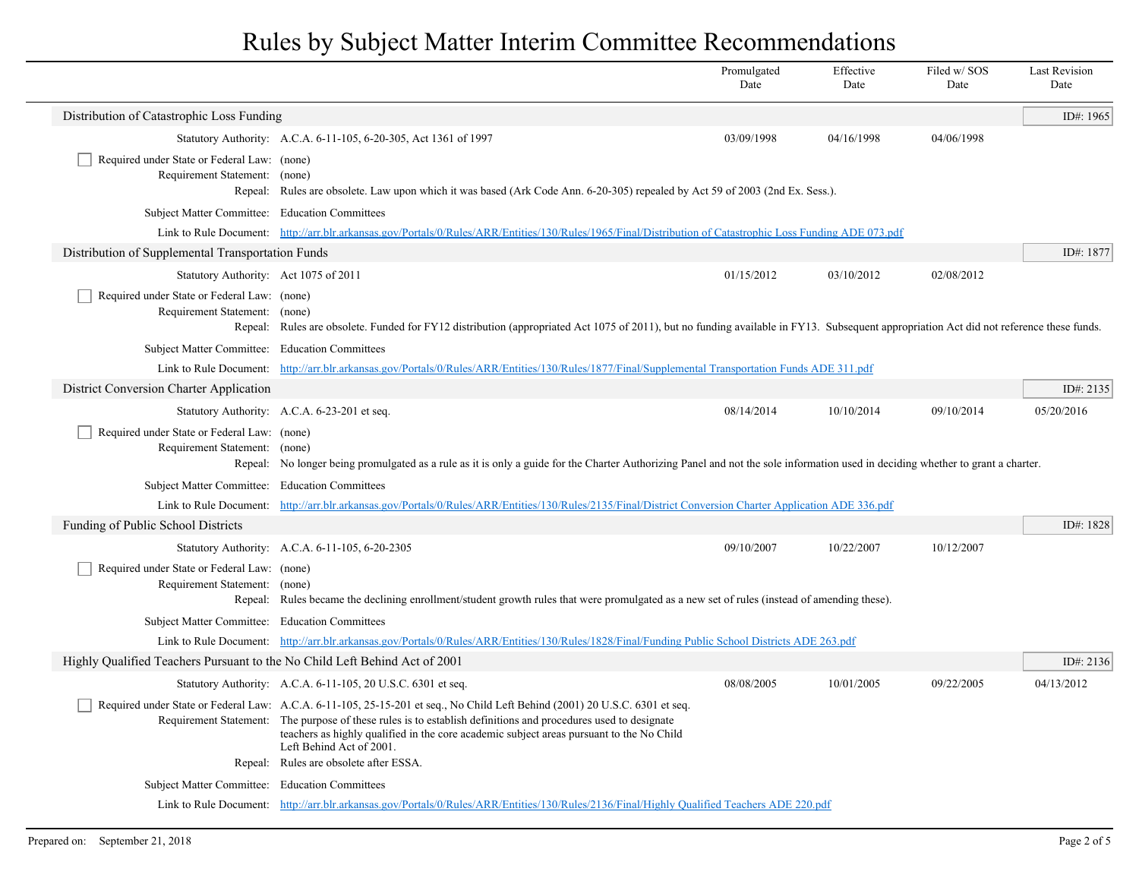|                                                                                                                                                                                                            |                                                                                                                                                                                                                                        | Promulgated<br>Date | Effective<br>Date | Filed w/ SOS<br>Date | <b>Last Revision</b><br>Date |
|------------------------------------------------------------------------------------------------------------------------------------------------------------------------------------------------------------|----------------------------------------------------------------------------------------------------------------------------------------------------------------------------------------------------------------------------------------|---------------------|-------------------|----------------------|------------------------------|
| Distribution of Catastrophic Loss Funding                                                                                                                                                                  |                                                                                                                                                                                                                                        |                     |                   |                      | ID#: 1965                    |
|                                                                                                                                                                                                            | Statutory Authority: A.C.A. 6-11-105, 6-20-305, Act 1361 of 1997                                                                                                                                                                       | 03/09/1998          | 04/16/1998        | 04/06/1998           |                              |
| Required under State or Federal Law: (none)<br>Requirement Statement: (none)<br>Repeal:                                                                                                                    | Rules are obsolete. Law upon which it was based (Ark Code Ann. 6-20-305) repealed by Act 59 of 2003 (2nd Ex. Sess.).                                                                                                                   |                     |                   |                      |                              |
|                                                                                                                                                                                                            | Subject Matter Committee: Education Committees                                                                                                                                                                                         |                     |                   |                      |                              |
|                                                                                                                                                                                                            | Link to Rule Document: http://arr.blr.arkansas.gov/Portals/0/Rules/ARR/Entities/130/Rules/1965/Final/Distribution of Catastrophic Loss Funding ADE 073.pdf                                                                             |                     |                   |                      |                              |
| Distribution of Supplemental Transportation Funds                                                                                                                                                          |                                                                                                                                                                                                                                        |                     |                   |                      | ID#: 1877                    |
| Statutory Authority: Act 1075 of 2011                                                                                                                                                                      |                                                                                                                                                                                                                                        | 01/15/2012          | 03/10/2012        | 02/08/2012           |                              |
| Required under State or Federal Law: (none)<br>Requirement Statement: (none)                                                                                                                               | Repeal: Rules are obsolete. Funded for FY12 distribution (appropriated Act 1075 of 2011), but no funding available in FY13. Subsequent appropriation Act did not reference these funds.                                                |                     |                   |                      |                              |
| Subject Matter Committee: Education Committees                                                                                                                                                             |                                                                                                                                                                                                                                        |                     |                   |                      |                              |
|                                                                                                                                                                                                            | Link to Rule Document: http://arr.blr.arkansas.gov/Portals/0/Rules/ARR/Entities/130/Rules/1877/Final/Supplemental Transportation Funds ADE 311.pdf                                                                                     |                     |                   |                      |                              |
| District Conversion Charter Application                                                                                                                                                                    |                                                                                                                                                                                                                                        |                     |                   |                      | ID#: $2135$                  |
|                                                                                                                                                                                                            | Statutory Authority: A.C.A. 6-23-201 et seq.                                                                                                                                                                                           | 08/14/2014          | 10/10/2014        | 09/10/2014           | 05/20/2016                   |
| Required under State or Federal Law: (none)<br>Requirement Statement: (none)                                                                                                                               | Repeal: No longer being promulgated as a rule as it is only a guide for the Charter Authorizing Panel and not the sole information used in deciding whether to grant a charter.                                                        |                     |                   |                      |                              |
| Subject Matter Committee: Education Committees<br>Link to Rule Document: http://arr.blr.arkansas.gov/Portals/0/Rules/ARR/Entities/130/Rules/2135/Final/District Conversion Charter Application ADE 336.pdf |                                                                                                                                                                                                                                        |                     |                   |                      |                              |
|                                                                                                                                                                                                            |                                                                                                                                                                                                                                        |                     |                   |                      |                              |
| Funding of Public School Districts                                                                                                                                                                         |                                                                                                                                                                                                                                        |                     |                   |                      | ID#: 1828                    |
|                                                                                                                                                                                                            | Statutory Authority: A.C.A. 6-11-105, 6-20-2305                                                                                                                                                                                        | 09/10/2007          | 10/22/2007        | 10/12/2007           |                              |
| Required under State or Federal Law: (none)<br>Requirement Statement: (none)                                                                                                                               | Repeal: Rules became the declining enrollment/student growth rules that were promulgated as a new set of rules (instead of amending these).                                                                                            |                     |                   |                      |                              |
| Subject Matter Committee: Education Committees                                                                                                                                                             |                                                                                                                                                                                                                                        |                     |                   |                      |                              |
|                                                                                                                                                                                                            | Link to Rule Document: http://arr.blr.arkansas.gov/Portals/0/Rules/ARR/Entities/130/Rules/1828/Final/Funding Public School Districts ADE 263.pdf                                                                                       |                     |                   |                      |                              |
| Highly Qualified Teachers Pursuant to the No Child Left Behind Act of 2001                                                                                                                                 |                                                                                                                                                                                                                                        |                     |                   |                      | ID#: 2136                    |
|                                                                                                                                                                                                            | Statutory Authority: A.C.A. 6-11-105, 20 U.S.C. 6301 et seq.                                                                                                                                                                           | 08/08/2005          | 10/01/2005        | 09/22/2005           | 04/13/2012                   |
|                                                                                                                                                                                                            | Required under State or Federal Law: A.C.A. 6-11-105, 25-15-201 et seq., No Child Left Behind (2001) 20 U.S.C. 6301 et seq.                                                                                                            |                     |                   |                      |                              |
|                                                                                                                                                                                                            | Requirement Statement: The purpose of these rules is to establish definitions and procedures used to designate<br>teachers as highly qualified in the core academic subject areas pursuant to the No Child<br>Left Behind Act of 2001. |                     |                   |                      |                              |
|                                                                                                                                                                                                            | Repeal: Rules are obsolete after ESSA.                                                                                                                                                                                                 |                     |                   |                      |                              |
| Subject Matter Committee: Education Committees                                                                                                                                                             |                                                                                                                                                                                                                                        |                     |                   |                      |                              |
|                                                                                                                                                                                                            | Link to Rule Document: http://arr.blr.arkansas.gov/Portals/0/Rules/ARR/Entities/130/Rules/2136/Final/Highly Qualified Teachers ADE 220.pdf                                                                                             |                     |                   |                      |                              |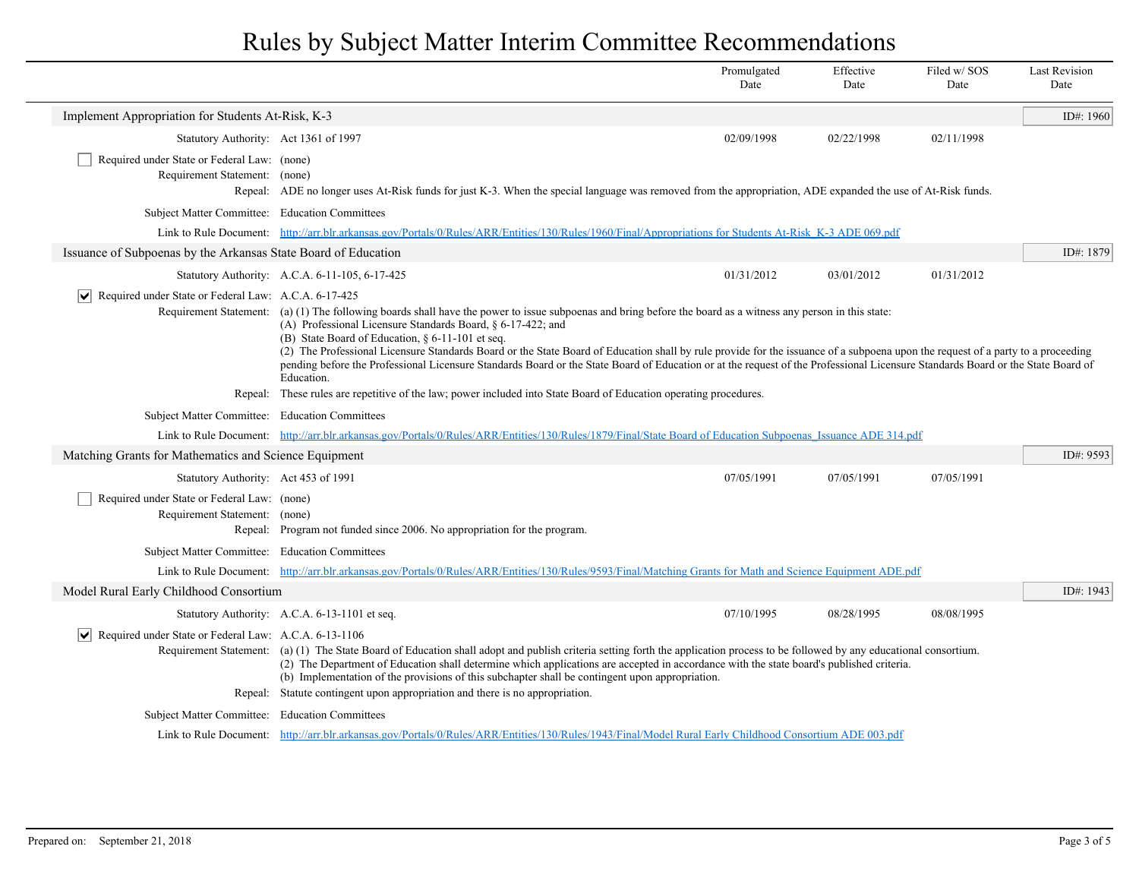|                                                                                                                                                             |                                                                                                                                                                                                                                                                                                                                                                                                                                                                                                                                                                                                                                                                                                                                     | Promulgated<br>Date | Effective<br>Date | Filed w/ SOS<br>Date | <b>Last Revision</b><br>Date |
|-------------------------------------------------------------------------------------------------------------------------------------------------------------|-------------------------------------------------------------------------------------------------------------------------------------------------------------------------------------------------------------------------------------------------------------------------------------------------------------------------------------------------------------------------------------------------------------------------------------------------------------------------------------------------------------------------------------------------------------------------------------------------------------------------------------------------------------------------------------------------------------------------------------|---------------------|-------------------|----------------------|------------------------------|
| Implement Appropriation for Students At-Risk, K-3                                                                                                           |                                                                                                                                                                                                                                                                                                                                                                                                                                                                                                                                                                                                                                                                                                                                     |                     |                   |                      | ID#: 1960                    |
| Statutory Authority: Act 1361 of 1997                                                                                                                       |                                                                                                                                                                                                                                                                                                                                                                                                                                                                                                                                                                                                                                                                                                                                     | 02/09/1998          | 02/22/1998        | 02/11/1998           |                              |
| Required under State or Federal Law: (none)<br>Requirement Statement: (none)                                                                                | Repeal: ADE no longer uses At-Risk funds for just K-3. When the special language was removed from the appropriation, ADE expanded the use of At-Risk funds.                                                                                                                                                                                                                                                                                                                                                                                                                                                                                                                                                                         |                     |                   |                      |                              |
| Subject Matter Committee: Education Committees                                                                                                              |                                                                                                                                                                                                                                                                                                                                                                                                                                                                                                                                                                                                                                                                                                                                     |                     |                   |                      |                              |
|                                                                                                                                                             | Link to Rule Document: http://arr.blr.arkansas.gov/Portals/0/Rules/ARR/Entities/130/Rules/1960/Final/Appropriations for Students At-Risk K-3 ADE 069.pdf                                                                                                                                                                                                                                                                                                                                                                                                                                                                                                                                                                            |                     |                   |                      |                              |
| Issuance of Subpoenas by the Arkansas State Board of Education                                                                                              |                                                                                                                                                                                                                                                                                                                                                                                                                                                                                                                                                                                                                                                                                                                                     |                     |                   |                      | ID#: 1879                    |
|                                                                                                                                                             | Statutory Authority: A.C.A. 6-11-105, 6-17-425                                                                                                                                                                                                                                                                                                                                                                                                                                                                                                                                                                                                                                                                                      | 01/31/2012          | 03/01/2012        | 01/31/2012           |                              |
|                                                                                                                                                             | Required under State or Federal Law: A.C.A. 6-17-425<br>Requirement Statement: (a) (1) The following boards shall have the power to issue subpoenas and bring before the board as a witness any person in this state:<br>(A) Professional Licensure Standards Board, $\delta$ 6-17-422; and<br>(B) State Board of Education, § 6-11-101 et seq.<br>(2) The Professional Licensure Standards Board or the State Board of Education shall by rule provide for the issuance of a subpoena upon the request of a party to a proceeding<br>pending before the Professional Licensure Standards Board or the State Board of Education or at the request of the Professional Licensure Standards Board or the State Board of<br>Education. |                     |                   |                      |                              |
|                                                                                                                                                             | Repeal: These rules are repetitive of the law; power included into State Board of Education operating procedures.                                                                                                                                                                                                                                                                                                                                                                                                                                                                                                                                                                                                                   |                     |                   |                      |                              |
| Subject Matter Committee: Education Committees                                                                                                              |                                                                                                                                                                                                                                                                                                                                                                                                                                                                                                                                                                                                                                                                                                                                     |                     |                   |                      |                              |
|                                                                                                                                                             | Link to Rule Document: http://arr.blr.arkansas.gov/Portals/0/Rules/ARR/Entities/130/Rules/1879/Final/State Board of Education Subpoenas Issuance ADE 314.pdf                                                                                                                                                                                                                                                                                                                                                                                                                                                                                                                                                                        |                     |                   |                      |                              |
| Matching Grants for Mathematics and Science Equipment                                                                                                       |                                                                                                                                                                                                                                                                                                                                                                                                                                                                                                                                                                                                                                                                                                                                     |                     |                   |                      | ID#: 9593                    |
| Statutory Authority: Act 453 of 1991                                                                                                                        |                                                                                                                                                                                                                                                                                                                                                                                                                                                                                                                                                                                                                                                                                                                                     | 07/05/1991          | 07/05/1991        | 07/05/1991           |                              |
| Required under State or Federal Law: (none)<br>Requirement Statement: (none)                                                                                | Repeal: Program not funded since 2006. No appropriation for the program.                                                                                                                                                                                                                                                                                                                                                                                                                                                                                                                                                                                                                                                            |                     |                   |                      |                              |
| Subject Matter Committee: Education Committees                                                                                                              |                                                                                                                                                                                                                                                                                                                                                                                                                                                                                                                                                                                                                                                                                                                                     |                     |                   |                      |                              |
| Link to Rule Document: http://arr.blr.arkansas.gov/Portals/0/Rules/ARR/Entities/130/Rules/9593/Final/Matching Grants for Math and Science Equipment ADE.pdf |                                                                                                                                                                                                                                                                                                                                                                                                                                                                                                                                                                                                                                                                                                                                     |                     |                   |                      |                              |
| Model Rural Early Childhood Consortium                                                                                                                      |                                                                                                                                                                                                                                                                                                                                                                                                                                                                                                                                                                                                                                                                                                                                     |                     |                   |                      | ID#: 1943                    |
|                                                                                                                                                             | Statutory Authority: A.C.A. 6-13-1101 et seq.                                                                                                                                                                                                                                                                                                                                                                                                                                                                                                                                                                                                                                                                                       | 07/10/1995          | 08/28/1995        | 08/08/1995           |                              |
|                                                                                                                                                             | $ \mathbf{v} $ Required under State or Federal Law: A.C.A. 6-13-1106                                                                                                                                                                                                                                                                                                                                                                                                                                                                                                                                                                                                                                                                |                     |                   |                      |                              |
|                                                                                                                                                             | Requirement Statement: (a) (1) The State Board of Education shall adopt and publish criteria setting forth the application process to be followed by any educational consortium.<br>(2) The Department of Education shall determine which applications are accepted in accordance with the state board's published criteria.<br>(b) Implementation of the provisions of this subchapter shall be contingent upon appropriation.                                                                                                                                                                                                                                                                                                     |                     |                   |                      |                              |
|                                                                                                                                                             | Repeal: Statute contingent upon appropriation and there is no appropriation.                                                                                                                                                                                                                                                                                                                                                                                                                                                                                                                                                                                                                                                        |                     |                   |                      |                              |
| Subject Matter Committee: Education Committees                                                                                                              |                                                                                                                                                                                                                                                                                                                                                                                                                                                                                                                                                                                                                                                                                                                                     |                     |                   |                      |                              |
|                                                                                                                                                             | Link to Rule Document: http://arr.blr.arkansas.gov/Portals/0/Rules/ARR/Entities/130/Rules/1943/Final/Model Rural Early Childhood Consortium ADE 003.pdf                                                                                                                                                                                                                                                                                                                                                                                                                                                                                                                                                                             |                     |                   |                      |                              |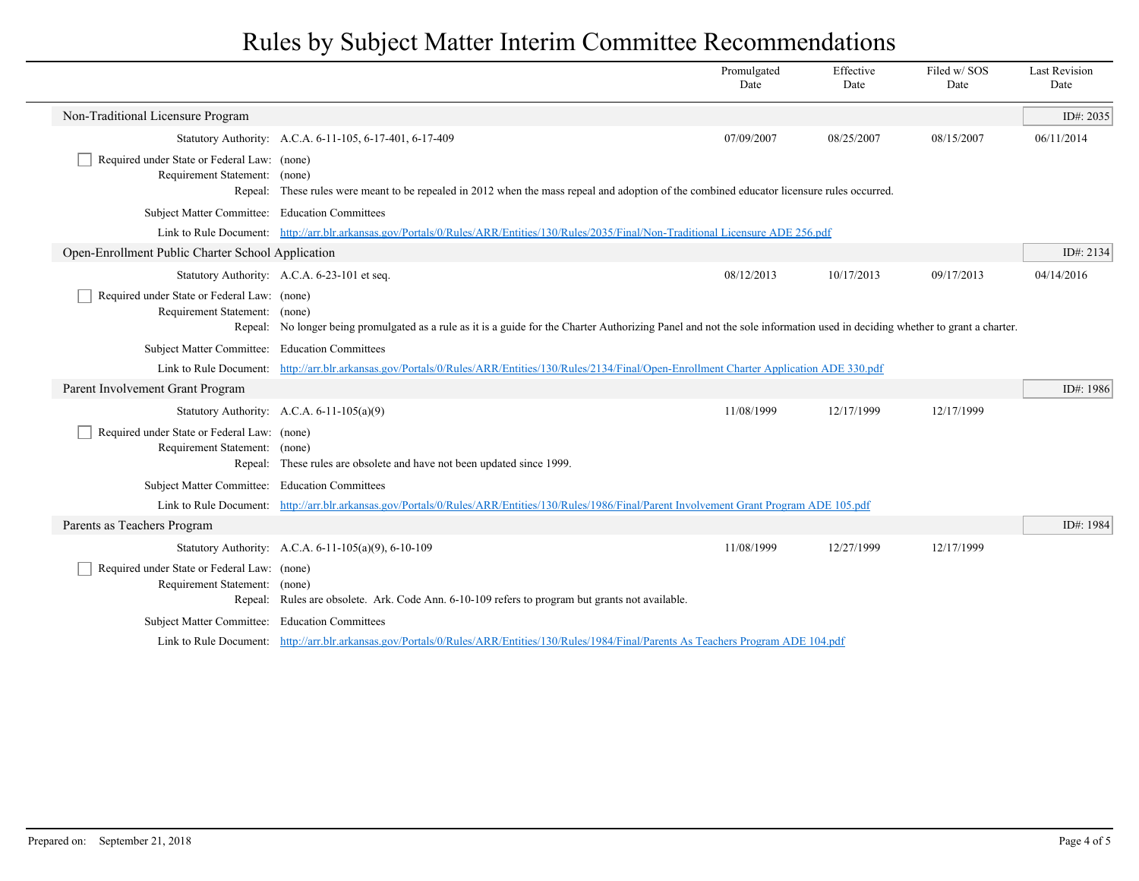|                                                                              |                                                                                                                                                                            | Promulgated<br>Date | Effective<br>Date | Filed w/SOS<br>Date | <b>Last Revision</b><br>Date |
|------------------------------------------------------------------------------|----------------------------------------------------------------------------------------------------------------------------------------------------------------------------|---------------------|-------------------|---------------------|------------------------------|
| Non-Traditional Licensure Program                                            |                                                                                                                                                                            |                     |                   |                     | ID#: 2035                    |
|                                                                              | Statutory Authority: A.C.A. 6-11-105, 6-17-401, 6-17-409                                                                                                                   | 07/09/2007          | 08/25/2007        | 08/15/2007          | 06/11/2014                   |
| Required under State or Federal Law: (none)<br>Requirement Statement: (none) | Repeal: These rules were meant to be repealed in 2012 when the mass repeal and adoption of the combined educator licensure rules occurred.                                 |                     |                   |                     |                              |
| Subject Matter Committee: Education Committees                               |                                                                                                                                                                            |                     |                   |                     |                              |
|                                                                              | Link to Rule Document: http://arr.blr.arkansas.gov/Portals/0/Rules/ARR/Entities/130/Rules/2035/Final/Non-Traditional Licensure ADE 256.pdf                                 |                     |                   |                     |                              |
| Open-Enrollment Public Charter School Application                            |                                                                                                                                                                            |                     |                   |                     | ID#: 2134                    |
|                                                                              | Statutory Authority: A.C.A. 6-23-101 et seq.                                                                                                                               | 08/12/2013          | 10/17/2013        | 09/17/2013          | 04/14/2016                   |
| Required under State or Federal Law: (none)<br>Requirement Statement: (none) | Repeal: No longer being promulgated as a rule as it is a guide for the Charter Authorizing Panel and not the sole information used in deciding whether to grant a charter. |                     |                   |                     |                              |
| Subject Matter Committee: Education Committees                               |                                                                                                                                                                            |                     |                   |                     |                              |
|                                                                              | Link to Rule Document: http://arr.blr.arkansas.gov/Portals/0/Rules/ARR/Entities/130/Rules/2134/Final/Open-Enrollment Charter Application ADE 330.pdf                       |                     |                   |                     |                              |
| Parent Involvement Grant Program                                             |                                                                                                                                                                            |                     |                   |                     | ID#: 1986                    |
|                                                                              | Statutory Authority: A.C.A. $6-11-105(a)(9)$                                                                                                                               | 11/08/1999          | 12/17/1999        | 12/17/1999          |                              |
| Required under State or Federal Law: (none)<br>Requirement Statement: (none) | Repeal: These rules are obsolete and have not been updated since 1999.                                                                                                     |                     |                   |                     |                              |
| Subject Matter Committee: Education Committees                               |                                                                                                                                                                            |                     |                   |                     |                              |
|                                                                              | Link to Rule Document: http://arr.blr.arkansas.gov/Portals/0/Rules/ARR/Entities/130/Rules/1986/Final/Parent Involvement Grant Program ADE 105.pdf                          |                     |                   |                     |                              |
| Parents as Teachers Program                                                  |                                                                                                                                                                            |                     |                   |                     | ID#: 1984                    |
|                                                                              | Statutory Authority: A.C.A. 6-11-105(a)(9), 6-10-109                                                                                                                       | 11/08/1999          | 12/27/1999        | 12/17/1999          |                              |
| Required under State or Federal Law: (none)<br>Requirement Statement: (none) | Repeal: Rules are obsolete. Ark. Code Ann. 6-10-109 refers to program but grants not available.                                                                            |                     |                   |                     |                              |
| Subject Matter Committee: Education Committees                               |                                                                                                                                                                            |                     |                   |                     |                              |
|                                                                              | Link to Rule Document: http://arr.blr.arkansas.gov/Portals/0/Rules/ARR/Entities/130/Rules/1984/Final/Parents As Teachers Program ADE 104.pdf                               |                     |                   |                     |                              |